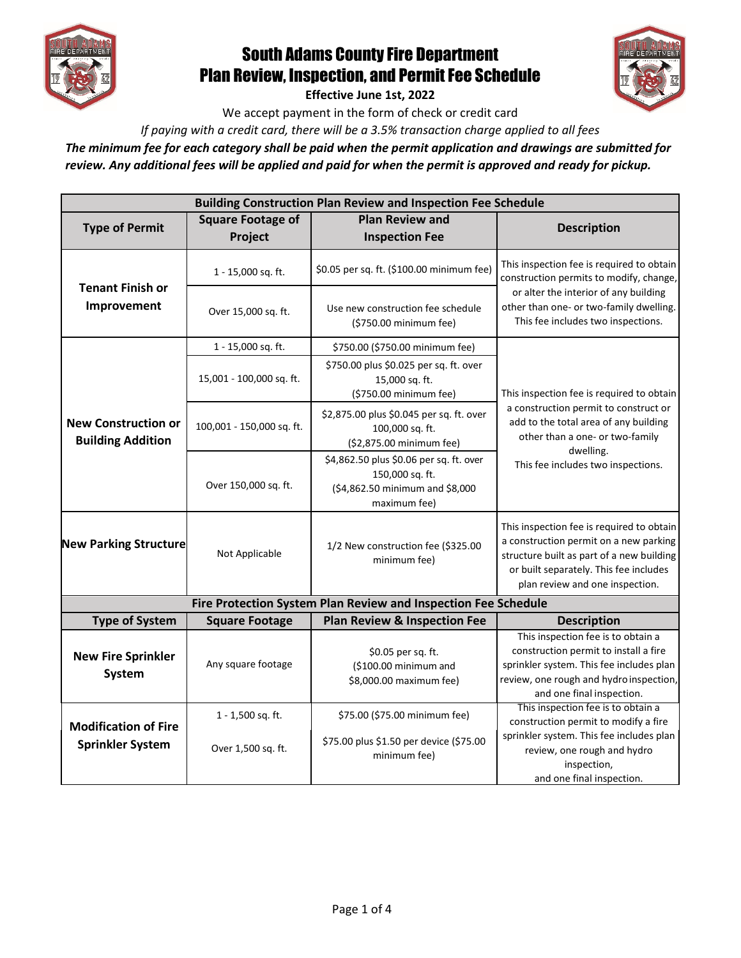

## South Adams County Fire Department Plan Review, Inspection, and Permit Fee Schedule

**Effective June 1st, 2022** 

We accept payment in the form of check or credit card

*If paying with a credit card, there will be a 3.5% transaction charge applied to all fees* 

*The minimum fee for each category shall be paid when the permit application and drawings are submitted for review. Any additional fees will be applied and paid for when the permit is approved and ready for pickup.* 

| <b>Building Construction Plan Review and Inspection Fee Schedule</b> |                                     |                                                                                                               |                                                                                                                                                                                                               |  |  |  |
|----------------------------------------------------------------------|-------------------------------------|---------------------------------------------------------------------------------------------------------------|---------------------------------------------------------------------------------------------------------------------------------------------------------------------------------------------------------------|--|--|--|
| <b>Type of Permit</b>                                                | <b>Square Footage of</b><br>Project | <b>Plan Review and</b><br><b>Inspection Fee</b>                                                               | <b>Description</b>                                                                                                                                                                                            |  |  |  |
|                                                                      | 1 - 15,000 sq. ft.                  | \$0.05 per sq. ft. (\$100.00 minimum fee)                                                                     | This inspection fee is required to obtain<br>construction permits to modify, change,                                                                                                                          |  |  |  |
| <b>Tenant Finish or</b><br>Improvement                               | Over 15,000 sq. ft.                 | Use new construction fee schedule<br>(\$750.00 minimum fee)                                                   | or alter the interior of any building<br>other than one- or two-family dwelling.<br>This fee includes two inspections.                                                                                        |  |  |  |
|                                                                      | 1 - 15,000 sq. ft.                  | \$750.00 (\$750.00 minimum fee)                                                                               |                                                                                                                                                                                                               |  |  |  |
| <b>New Construction or</b><br><b>Building Addition</b>               | 15,001 - 100,000 sq. ft.            | \$750.00 plus \$0.025 per sq. ft. over<br>15,000 sq. ft.<br>(\$750.00 minimum fee)                            | This inspection fee is required to obtain                                                                                                                                                                     |  |  |  |
|                                                                      | 100,001 - 150,000 sq. ft.           | \$2,875.00 plus \$0.045 per sq. ft. over<br>100,000 sq. ft.<br>(\$2,875.00 minimum fee)                       | a construction permit to construct or<br>add to the total area of any building<br>other than a one- or two-family<br>dwelling.                                                                                |  |  |  |
|                                                                      | Over 150,000 sq. ft.                | \$4,862.50 plus \$0.06 per sq. ft. over<br>150,000 sq. ft.<br>(\$4,862.50 minimum and \$8,000<br>maximum fee) | This fee includes two inspections.                                                                                                                                                                            |  |  |  |
| <b>New Parking Structure</b>                                         | Not Applicable                      | 1/2 New construction fee (\$325.00<br>minimum fee)                                                            | This inspection fee is required to obtain<br>a construction permit on a new parking<br>structure built as part of a new building<br>or built separately. This fee includes<br>plan review and one inspection. |  |  |  |
| Fire Protection System Plan Review and Inspection Fee Schedule       |                                     |                                                                                                               |                                                                                                                                                                                                               |  |  |  |
| <b>Type of System</b>                                                | <b>Square Footage</b>               | <b>Plan Review &amp; Inspection Fee</b>                                                                       | <b>Description</b>                                                                                                                                                                                            |  |  |  |
| <b>New Fire Sprinkler</b><br>System                                  | Any square footage                  | \$0.05 per sq. ft.<br>(\$100.00 minimum and<br>\$8,000.00 maximum fee)                                        | This inspection fee is to obtain a<br>construction permit to install a fire<br>sprinkler system. This fee includes plan<br>review, one rough and hydro inspection,<br>and one final inspection.               |  |  |  |
| <b>Modification of Fire</b><br><b>Sprinkler System</b>               | 1 - 1,500 sq. ft.                   | \$75.00 (\$75.00 minimum fee)                                                                                 | This inspection fee is to obtain a<br>construction permit to modify a fire                                                                                                                                    |  |  |  |
|                                                                      | Over 1,500 sq. ft.                  | \$75.00 plus \$1.50 per device (\$75.00<br>minimum fee)                                                       | sprinkler system. This fee includes plan<br>review, one rough and hydro<br>inspection,                                                                                                                        |  |  |  |
|                                                                      |                                     |                                                                                                               | and one final inspection.                                                                                                                                                                                     |  |  |  |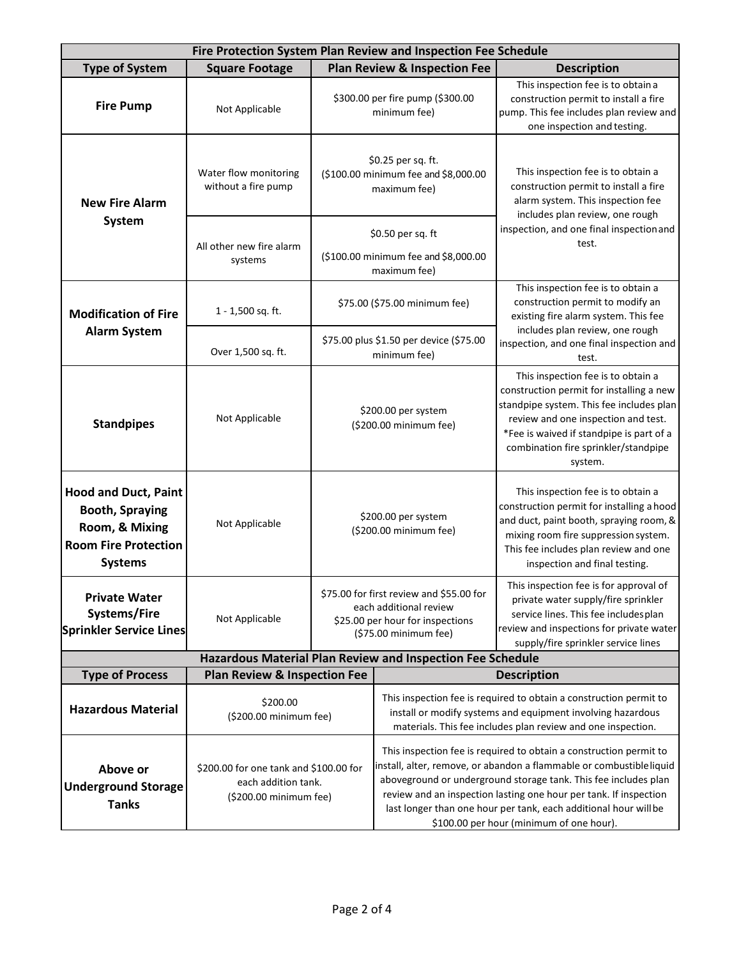| Fire Protection System Plan Review and Inspection Fee Schedule                                                           |                                                                                                       |                                                                                                                                 |                                                                                                                                                                                                                                                                                                                                                                                                   |                                                                                                                                                                                                                                                                  |  |
|--------------------------------------------------------------------------------------------------------------------------|-------------------------------------------------------------------------------------------------------|---------------------------------------------------------------------------------------------------------------------------------|---------------------------------------------------------------------------------------------------------------------------------------------------------------------------------------------------------------------------------------------------------------------------------------------------------------------------------------------------------------------------------------------------|------------------------------------------------------------------------------------------------------------------------------------------------------------------------------------------------------------------------------------------------------------------|--|
| <b>Type of System</b>                                                                                                    | <b>Square Footage</b>                                                                                 |                                                                                                                                 | <b>Plan Review &amp; Inspection Fee</b>                                                                                                                                                                                                                                                                                                                                                           | <b>Description</b>                                                                                                                                                                                                                                               |  |
| <b>Fire Pump</b>                                                                                                         | Not Applicable                                                                                        |                                                                                                                                 | \$300.00 per fire pump (\$300.00<br>minimum fee)                                                                                                                                                                                                                                                                                                                                                  | This inspection fee is to obtain a<br>construction permit to install a fire<br>pump. This fee includes plan review and<br>one inspection and testing.                                                                                                            |  |
| <b>New Fire Alarm</b><br><b>System</b>                                                                                   | Water flow monitoring<br>without a fire pump                                                          | \$0.25 per sq. ft.<br>(\$100.00 minimum fee and \$8,000.00<br>maximum fee)                                                      |                                                                                                                                                                                                                                                                                                                                                                                                   | This inspection fee is to obtain a<br>construction permit to install a fire<br>alarm system. This inspection fee<br>includes plan review, one rough<br>inspection, and one final inspection and<br>test.                                                         |  |
|                                                                                                                          | All other new fire alarm<br>systems                                                                   | \$0.50 per sq. ft<br>(\$100.00 minimum fee and \$8,000.00<br>maximum fee)                                                       |                                                                                                                                                                                                                                                                                                                                                                                                   |                                                                                                                                                                                                                                                                  |  |
| <b>Modification of Fire</b><br><b>Alarm System</b>                                                                       | 1 - 1,500 sq. ft.                                                                                     | \$75.00 (\$75.00 minimum fee)                                                                                                   |                                                                                                                                                                                                                                                                                                                                                                                                   | This inspection fee is to obtain a<br>construction permit to modify an<br>existing fire alarm system. This fee<br>includes plan review, one rough<br>inspection, and one final inspection and<br>test.                                                           |  |
|                                                                                                                          | Over 1,500 sq. ft.                                                                                    | \$75.00 plus \$1.50 per device (\$75.00<br>minimum fee)                                                                         |                                                                                                                                                                                                                                                                                                                                                                                                   |                                                                                                                                                                                                                                                                  |  |
| <b>Standpipes</b>                                                                                                        | Not Applicable                                                                                        | \$200.00 per system<br>(\$200.00 minimum fee)                                                                                   |                                                                                                                                                                                                                                                                                                                                                                                                   | This inspection fee is to obtain a<br>construction permit for installing a new<br>standpipe system. This fee includes plan<br>review and one inspection and test.<br>*Fee is waived if standpipe is part of a<br>combination fire sprinkler/standpipe<br>system. |  |
| <b>Hood and Duct, Paint</b><br><b>Booth, Spraying</b><br>Room, & Mixing<br><b>Room Fire Protection</b><br><b>Systems</b> | Not Applicable                                                                                        | \$200.00 per system<br>(\$200.00 minimum fee)                                                                                   |                                                                                                                                                                                                                                                                                                                                                                                                   | This inspection fee is to obtain a<br>construction permit for installing a hood<br>and duct, paint booth, spraying room, &<br>mixing room fire suppression system.<br>This fee includes plan review and one<br>inspection and final testing.                     |  |
| <b>Private Water</b><br>Systems/Fire<br><b>Sprinkler Service Lines</b>                                                   | Not Applicable                                                                                        | \$75.00 for first review and \$55.00 for<br>each additional review<br>\$25.00 per hour for inspections<br>(\$75.00 minimum fee) |                                                                                                                                                                                                                                                                                                                                                                                                   | This inspection fee is for approval of<br>private water supply/fire sprinkler<br>service lines. This fee includes plan<br>review and inspections for private water<br>supply/fire sprinkler service lines                                                        |  |
| <b>Type of Process</b>                                                                                                   | Hazardous Material Plan Review and Inspection Fee Schedule<br><b>Plan Review &amp; Inspection Fee</b> |                                                                                                                                 |                                                                                                                                                                                                                                                                                                                                                                                                   |                                                                                                                                                                                                                                                                  |  |
| <b>Hazardous Material</b>                                                                                                | \$200.00<br>(\$200.00 minimum fee)                                                                    |                                                                                                                                 | <b>Description</b><br>This inspection fee is required to obtain a construction permit to<br>install or modify systems and equipment involving hazardous<br>materials. This fee includes plan review and one inspection.                                                                                                                                                                           |                                                                                                                                                                                                                                                                  |  |
| Above or<br><b>Underground Storage</b><br><b>Tanks</b>                                                                   | \$200.00 for one tank and \$100.00 for<br>each addition tank.<br>(\$200.00 minimum fee)               |                                                                                                                                 | This inspection fee is required to obtain a construction permit to<br>install, alter, remove, or abandon a flammable or combustibleliquid<br>aboveground or underground storage tank. This fee includes plan<br>review and an inspection lasting one hour per tank. If inspection<br>last longer than one hour per tank, each additional hour will be<br>\$100.00 per hour (minimum of one hour). |                                                                                                                                                                                                                                                                  |  |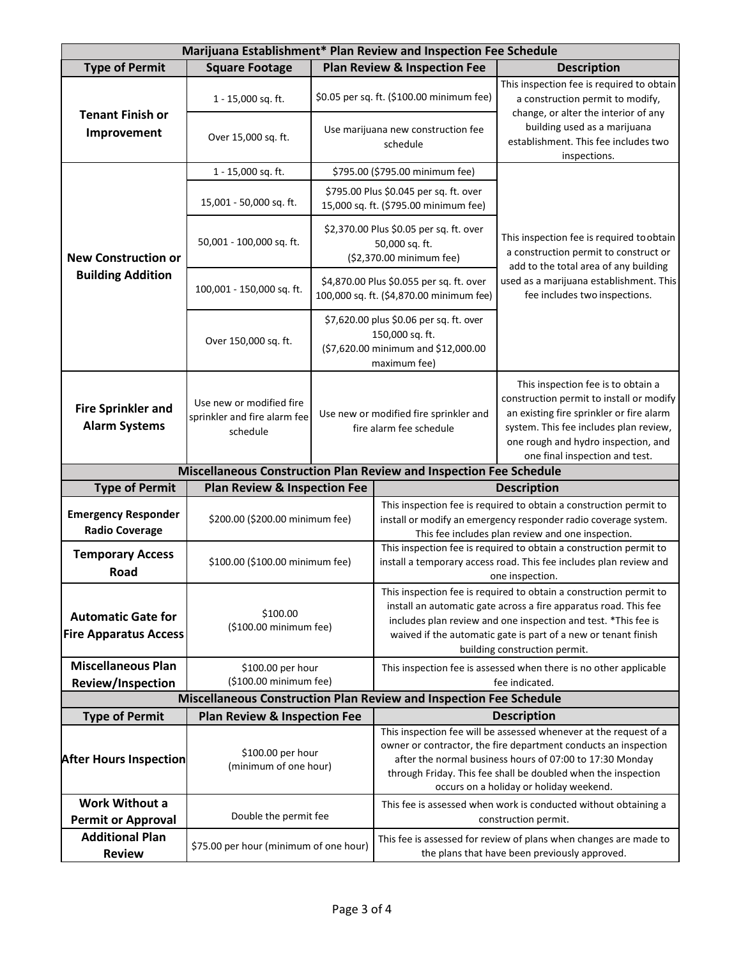| Marijuana Establishment* Plan Review and Inspection Fee Schedule |                                                                      |                                                                                                                   |                                                                                                                                                                                                                                                                                                              |                                                                                                                                                                                                                                               |  |
|------------------------------------------------------------------|----------------------------------------------------------------------|-------------------------------------------------------------------------------------------------------------------|--------------------------------------------------------------------------------------------------------------------------------------------------------------------------------------------------------------------------------------------------------------------------------------------------------------|-----------------------------------------------------------------------------------------------------------------------------------------------------------------------------------------------------------------------------------------------|--|
| <b>Type of Permit</b>                                            | <b>Square Footage</b>                                                |                                                                                                                   | <b>Plan Review &amp; Inspection Fee</b>                                                                                                                                                                                                                                                                      | <b>Description</b>                                                                                                                                                                                                                            |  |
| <b>Tenant Finish or</b><br>Improvement                           | 1 - 15,000 sq. ft.                                                   | \$0.05 per sq. ft. (\$100.00 minimum fee)                                                                         |                                                                                                                                                                                                                                                                                                              | This inspection fee is required to obtain<br>a construction permit to modify,<br>change, or alter the interior of any<br>building used as a marijuana<br>establishment. This fee includes two<br>inspections.                                 |  |
|                                                                  | Over 15,000 sq. ft.                                                  | Use marijuana new construction fee<br>schedule                                                                    |                                                                                                                                                                                                                                                                                                              |                                                                                                                                                                                                                                               |  |
|                                                                  | 1 - 15,000 sq. ft.                                                   | \$795.00 (\$795.00 minimum fee)                                                                                   |                                                                                                                                                                                                                                                                                                              | This inspection fee is required to obtain<br>a construction permit to construct or<br>add to the total area of any building<br>used as a marijuana establishment. This<br>fee includes two inspections.                                       |  |
| <b>New Construction or</b><br><b>Building Addition</b>           | 15,001 - 50,000 sq. ft.                                              | \$795.00 Plus \$0.045 per sq. ft. over<br>15,000 sq. ft. (\$795.00 minimum fee)                                   |                                                                                                                                                                                                                                                                                                              |                                                                                                                                                                                                                                               |  |
|                                                                  | 50,001 - 100,000 sq. ft.                                             | \$2,370.00 Plus \$0.05 per sq. ft. over<br>50,000 sq. ft.<br>(\$2,370.00 minimum fee)                             |                                                                                                                                                                                                                                                                                                              |                                                                                                                                                                                                                                               |  |
|                                                                  | 100,001 - 150,000 sq. ft.                                            | \$4,870.00 Plus \$0.055 per sq. ft. over<br>100,000 sq. ft. (\$4,870.00 minimum fee)                              |                                                                                                                                                                                                                                                                                                              |                                                                                                                                                                                                                                               |  |
|                                                                  | Over 150,000 sq. ft.                                                 | \$7,620.00 plus \$0.06 per sq. ft. over<br>150,000 sq. ft.<br>(\$7,620.00 minimum and \$12,000.00<br>maximum fee) |                                                                                                                                                                                                                                                                                                              |                                                                                                                                                                                                                                               |  |
| <b>Fire Sprinkler and</b><br><b>Alarm Systems</b>                | Use new or modified fire<br>sprinkler and fire alarm fee<br>schedule | Use new or modified fire sprinkler and<br>fire alarm fee schedule                                                 |                                                                                                                                                                                                                                                                                                              | This inspection fee is to obtain a<br>construction permit to install or modify<br>an existing fire sprinkler or fire alarm<br>system. This fee includes plan review,<br>one rough and hydro inspection, and<br>one final inspection and test. |  |
|                                                                  | Miscellaneous Construction Plan Review and Inspection Fee Schedule   |                                                                                                                   |                                                                                                                                                                                                                                                                                                              |                                                                                                                                                                                                                                               |  |
| <b>Type of Permit</b><br><b>Plan Review &amp; Inspection Fee</b> |                                                                      |                                                                                                                   |                                                                                                                                                                                                                                                                                                              | <b>Description</b>                                                                                                                                                                                                                            |  |
| <b>Emergency Responder</b><br><b>Radio Coverage</b>              | \$200.00 (\$200.00 minimum fee)                                      |                                                                                                                   | This inspection fee is required to obtain a construction permit to<br>install or modify an emergency responder radio coverage system.<br>This fee includes plan review and one inspection.                                                                                                                   |                                                                                                                                                                                                                                               |  |
| <b>Temporary Access</b><br>Road                                  | \$100.00 (\$100.00 minimum fee)                                      |                                                                                                                   | This inspection fee is required to obtain a construction permit to<br>install a temporary access road. This fee includes plan review and<br>one inspection.                                                                                                                                                  |                                                                                                                                                                                                                                               |  |
|                                                                  | \$100.00<br>(\$100.00 minimum fee)                                   |                                                                                                                   | This inspection fee is required to obtain a construction permit to                                                                                                                                                                                                                                           |                                                                                                                                                                                                                                               |  |
| <b>Automatic Gate for</b>                                        |                                                                      |                                                                                                                   | install an automatic gate across a fire apparatus road. This fee<br>includes plan review and one inspection and test. *This fee is                                                                                                                                                                           |                                                                                                                                                                                                                                               |  |
| <b>Fire Apparatus Access</b>                                     |                                                                      |                                                                                                                   | waived if the automatic gate is part of a new or tenant finish                                                                                                                                                                                                                                               |                                                                                                                                                                                                                                               |  |
|                                                                  |                                                                      |                                                                                                                   | building construction permit.                                                                                                                                                                                                                                                                                |                                                                                                                                                                                                                                               |  |
| <b>Miscellaneous Plan</b>                                        | \$100.00 per hour                                                    |                                                                                                                   | This inspection fee is assessed when there is no other applicable                                                                                                                                                                                                                                            |                                                                                                                                                                                                                                               |  |
| Review/Inspection                                                |                                                                      | (\$100.00 minimum fee)                                                                                            |                                                                                                                                                                                                                                                                                                              | fee indicated.                                                                                                                                                                                                                                |  |
|                                                                  | Miscellaneous Construction Plan Review and Inspection Fee Schedule   |                                                                                                                   |                                                                                                                                                                                                                                                                                                              |                                                                                                                                                                                                                                               |  |
| <b>Type of Permit</b>                                            | <b>Plan Review &amp; Inspection Fee</b>                              |                                                                                                                   |                                                                                                                                                                                                                                                                                                              | <b>Description</b>                                                                                                                                                                                                                            |  |
| <b>After Hours Inspection</b>                                    | \$100.00 per hour<br>(minimum of one hour)                           |                                                                                                                   | This inspection fee will be assessed whenever at the request of a<br>owner or contractor, the fire department conducts an inspection<br>after the normal business hours of 07:00 to 17:30 Monday<br>through Friday. This fee shall be doubled when the inspection<br>occurs on a holiday or holiday weekend. |                                                                                                                                                                                                                                               |  |
| <b>Work Without a</b>                                            |                                                                      |                                                                                                                   | This fee is assessed when work is conducted without obtaining a                                                                                                                                                                                                                                              |                                                                                                                                                                                                                                               |  |
| <b>Permit or Approval</b>                                        | Double the permit fee                                                |                                                                                                                   | construction permit.                                                                                                                                                                                                                                                                                         |                                                                                                                                                                                                                                               |  |
| <b>Additional Plan</b><br><b>Review</b>                          | \$75.00 per hour (minimum of one hour)                               |                                                                                                                   | This fee is assessed for review of plans when changes are made to<br>the plans that have been previously approved.                                                                                                                                                                                           |                                                                                                                                                                                                                                               |  |